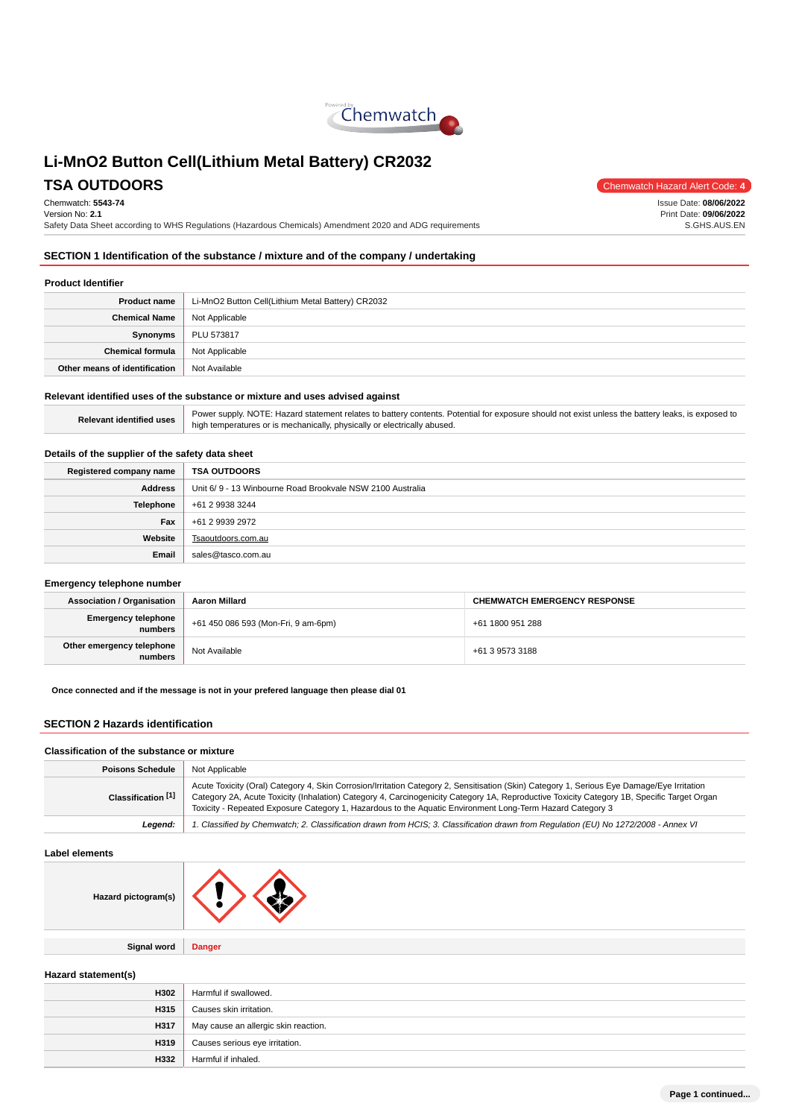

Chemwatch: **5543-74**

Version No: **2.1** Safety Data Sheet according to WHS Regulations (Hazardous Chemicals) Amendment 2020 and ADG requirements

**TSA OUTDOORS** Chemwatch Hazard Alert Code: 4 Issue Date: **08/06/2022**

Print Date: **09/06/2022** S.GHS.AUS.EN

# **SECTION 1 Identification of the substance / mixture and of the company / undertaking**

### **Product Identifier**

| <b>Product name</b>           | Li-MnO2 Button Cell(Lithium Metal Battery) CR2032 |
|-------------------------------|---------------------------------------------------|
| <b>Chemical Name</b>          | Not Applicable                                    |
| Synonyms                      | PLU 573817                                        |
| <b>Chemical formula</b>       | Not Applicable                                    |
| Other means of identification | Not Available                                     |

### **Relevant identified uses of the substance or mixture and uses advised against**

| Power supply. NOTE: Hazard statement relates to battery contents. Potential for exposure should not exist unless the battery leaks, is exposed to<br>high temperatures or is mechanically, physically or electrically abused. |
|-------------------------------------------------------------------------------------------------------------------------------------------------------------------------------------------------------------------------------|
|-------------------------------------------------------------------------------------------------------------------------------------------------------------------------------------------------------------------------------|

### **Details of the supplier of the safety data sheet**

| Registered company name | <b>TSA OUTDOORS</b>                                       |
|-------------------------|-----------------------------------------------------------|
| <b>Address</b>          | Unit 6/9 - 13 Winbourne Road Brookvale NSW 2100 Australia |
| <b>Telephone</b>        | +61 2 9938 3244                                           |
| Fax                     | +61 2 9939 2972                                           |
| Website                 | Tsaoutdoors.com.au                                        |
| Email                   | sales@tasco.com.au                                        |

### **Emergency telephone number**

| <b>Association / Organisation</b>    | Aaron Millard                       | <b>CHEMWATCH EMERGENCY RESPONSE</b> |  |
|--------------------------------------|-------------------------------------|-------------------------------------|--|
| Emergency telephone<br>numbers       | +61 450 086 593 (Mon-Fri, 9 am-6pm) | +61 1800 951 288                    |  |
| Other emergency telephone<br>numbers | Not Available                       | +61 3 9573 3188                     |  |

**Once connected and if the message is not in your prefered language then please dial 01**

### **SECTION 2 Hazards identification**

### **Classification of the substance or mixture**

| <b>Poisons Schedule</b> | Not Applicable                                                                                                                                                                                                                                                                                                                                                                                        |
|-------------------------|-------------------------------------------------------------------------------------------------------------------------------------------------------------------------------------------------------------------------------------------------------------------------------------------------------------------------------------------------------------------------------------------------------|
| Classification [1]      | Acute Toxicity (Oral) Category 4, Skin Corrosion/Irritation Category 2, Sensitisation (Skin) Category 1, Serious Eye Damage/Eye Irritation<br>Category 2A, Acute Toxicity (Inhalation) Category 4, Carcinogenicity Category 1A, Reproductive Toxicity Category 1B, Specific Target Organ<br>Toxicity - Repeated Exposure Category 1, Hazardous to the Aquatic Environment Long-Term Hazard Category 3 |
| Leaend:                 | 1. Classified by Chemwatch; 2. Classification drawn from HCIS; 3. Classification drawn from Regulation (EU) No 1272/2008 - Annex VI                                                                                                                                                                                                                                                                   |

### **Label elements**

| Hazard pictogram(s) |  |  |
|---------------------|--|--|
|---------------------|--|--|

**Signal word Danger**

**Hazard statement(s)**

| Harmful if swallowed.                |
|--------------------------------------|
| Causes skin irritation.              |
| May cause an allergic skin reaction. |
| Causes serious eye irritation.       |
| Harmful if inhaled.                  |
|                                      |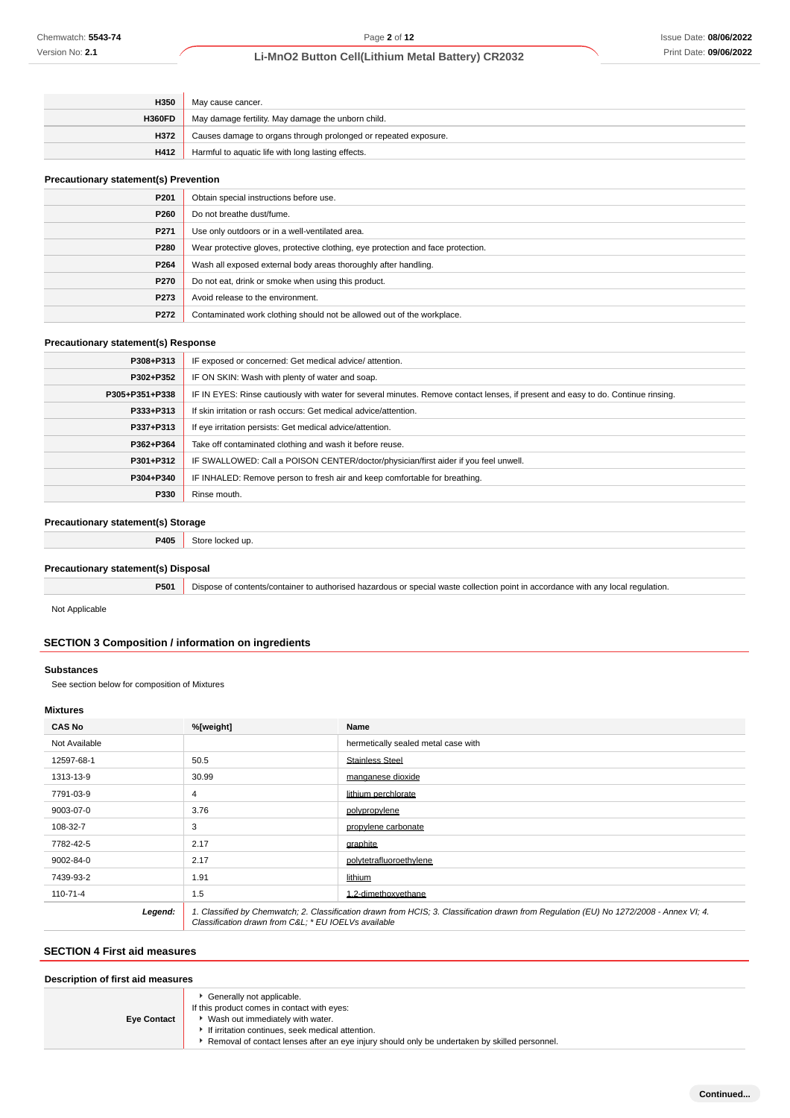### Issue Date: **08/06/2022** Print Date: **09/06/2022**

# **Li-MnO2 Button Cell(Lithium Metal Battery) CR2032**

| H350          | May cause cancer.                                               |
|---------------|-----------------------------------------------------------------|
| <b>H360FD</b> | May damage fertility. May damage the unborn child.              |
| H372          | Causes damage to organs through prolonged or repeated exposure. |
| H412          | Harmful to aquatic life with long lasting effects.              |

### **Precautionary statement(s) Prevention**

| P <sub>201</sub> | Obtain special instructions before use.                                          |
|------------------|----------------------------------------------------------------------------------|
| P260             | Do not breathe dust/fume.                                                        |
| P271             | Use only outdoors or in a well-ventilated area.                                  |
| P280             | Wear protective gloves, protective clothing, eye protection and face protection. |
| P264             | Wash all exposed external body areas thoroughly after handling.                  |
| P270             | Do not eat, drink or smoke when using this product.                              |
| P273             | Avoid release to the environment.                                                |
| P272             | Contaminated work clothing should not be allowed out of the workplace.           |

### **Precautionary statement(s) Response**

| P308+P313      | IF exposed or concerned: Get medical advice/attention.                                                                           |  |
|----------------|----------------------------------------------------------------------------------------------------------------------------------|--|
| P302+P352      | IF ON SKIN: Wash with plenty of water and soap.                                                                                  |  |
| P305+P351+P338 | IF IN EYES: Rinse cautiously with water for several minutes. Remove contact lenses, if present and easy to do. Continue rinsing. |  |
| P333+P313      | If skin irritation or rash occurs: Get medical advice/attention.                                                                 |  |
| P337+P313      | If eye irritation persists: Get medical advice/attention.                                                                        |  |
| P362+P364      | Take off contaminated clothing and wash it before reuse.                                                                         |  |
| P301+P312      | IF SWALLOWED: Call a POISON CENTER/doctor/physician/first aider if you feel unwell.                                              |  |
| P304+P340      | IF INHALED: Remove person to fresh air and keep comfortable for breathing.                                                       |  |
| P330           | Rinse mouth.                                                                                                                     |  |

### **Precautionary statement(s) Storage**

**P405** Store locked up.

### **Precautionary statement(s) Disposal**

**P501** Dispose of contents/container to authorised hazardous or special waste collection point in accordance with any local regulation.

Not Applicable

# **SECTION 3 Composition / information on ingredients**

### **Substances**

See section below for composition of Mixtures

### **Mixtures**

| <b>CAS No</b> | %[weight]                                                                                                                                                                                      | Name                                |  |
|---------------|------------------------------------------------------------------------------------------------------------------------------------------------------------------------------------------------|-------------------------------------|--|
| Not Available |                                                                                                                                                                                                | hermetically sealed metal case with |  |
| 12597-68-1    | 50.5                                                                                                                                                                                           | <b>Stainless Steel</b>              |  |
| 1313-13-9     | 30.99                                                                                                                                                                                          | manganese dioxide                   |  |
| 7791-03-9     | 4                                                                                                                                                                                              | lithium perchlorate                 |  |
| 9003-07-0     | 3.76                                                                                                                                                                                           | polypropylene                       |  |
| 108-32-7      | 3                                                                                                                                                                                              | propylene carbonate                 |  |
| 7782-42-5     | 2.17                                                                                                                                                                                           | graphite                            |  |
| 9002-84-0     | 2.17                                                                                                                                                                                           | polytetrafluoroethylene             |  |
| 7439-93-2     | 1.91                                                                                                                                                                                           | lithium                             |  |
| 110-71-4      | 1.5                                                                                                                                                                                            | .2-dimethoxvethane                  |  |
| Legend:       | 1. Classified by Chemwatch; 2. Classification drawn from HCIS; 3. Classification drawn from Regulation (EU) No 1272/2008 - Annex VI; 4.<br>Classification drawn from C&L * EU IOELVs available |                                     |  |

# **SECTION 4 First aid measures**

| Description of first aid measures |  |  |
|-----------------------------------|--|--|
|-----------------------------------|--|--|

**Eye Contact**

| Generally not applicable. |  |
|---------------------------|--|
|---------------------------|--|

- If this product comes in contact with eyes:
- Wash out immediately with water.
- If irritation continues, seek medical attention.
- Removal of contact lenses after an eye injury should only be undertaken by skilled personnel.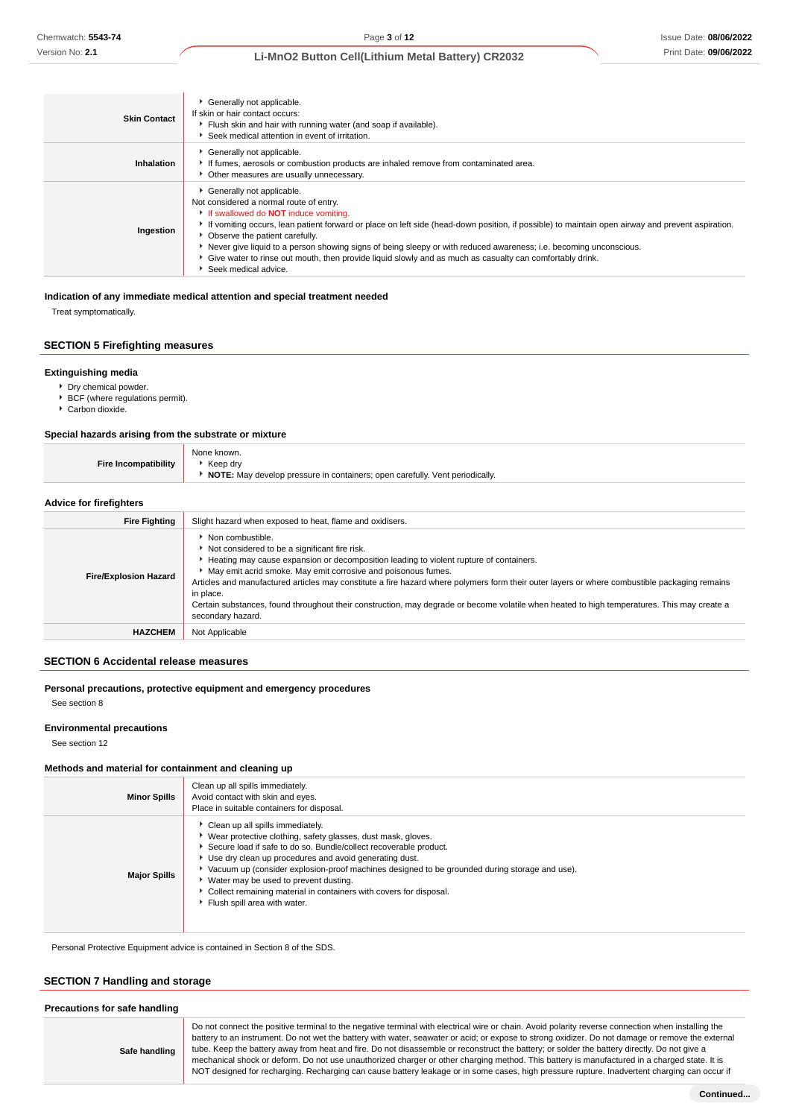| <b>Skin Contact</b> | Generally not applicable.<br>If skin or hair contact occurs:<br>Flush skin and hair with running water (and soap if available).<br>Seek medical attention in event of irritation.                                                                                                                                                                                                                                                                                                                                                                                      |
|---------------------|------------------------------------------------------------------------------------------------------------------------------------------------------------------------------------------------------------------------------------------------------------------------------------------------------------------------------------------------------------------------------------------------------------------------------------------------------------------------------------------------------------------------------------------------------------------------|
| Inhalation          | Generally not applicable.<br>If fumes, aerosols or combustion products are inhaled remove from contaminated area.<br>• Other measures are usually unnecessary.                                                                                                                                                                                                                                                                                                                                                                                                         |
| Ingestion           | Generally not applicable.<br>Not considered a normal route of entry.<br>If swallowed do <b>NOT</b> induce vomiting.<br>If vomiting occurs, lean patient forward or place on left side (head-down position, if possible) to maintain open airway and prevent aspiration.<br>• Observe the patient carefully.<br>Never give liquid to a person showing signs of being sleepy or with reduced awareness; i.e. becoming unconscious.<br>• Give water to rinse out mouth, then provide liquid slowly and as much as casualty can comfortably drink.<br>Seek medical advice. |

### **Indication of any immediate medical attention and special treatment needed**

Treat symptomatically.

# **SECTION 5 Firefighting measures**

### **Extinguishing media**

- Dry chemical powder.
- ▶ BCF (where regulations permit).
- Carbon dioxide.

### **Special hazards arising from the substrate or mixture**

| Fire Incompatibility    | None known.<br>▶ Keep drv<br>NOTE: May develop pressure in containers; open carefully. Vent periodically. |  |
|-------------------------|-----------------------------------------------------------------------------------------------------------|--|
| Advice for firefighters |                                                                                                           |  |
| <b>Eiro Eighting</b>    | Slight hazard when expeced to heat flame and ovidicers                                                    |  |

| <b>Fire Fighting</b>         | Slight hazard when exposed to heat, flame and oxidisers.                                                                                                                                                                                                                                                                                                                                                                                                                                                                                                                                 |  |  |
|------------------------------|------------------------------------------------------------------------------------------------------------------------------------------------------------------------------------------------------------------------------------------------------------------------------------------------------------------------------------------------------------------------------------------------------------------------------------------------------------------------------------------------------------------------------------------------------------------------------------------|--|--|
| <b>Fire/Explosion Hazard</b> | $\blacktriangleright$ Non combustible.<br>Not considered to be a significant fire risk.<br>▶ Heating may cause expansion or decomposition leading to violent rupture of containers.<br>• May emit acrid smoke. May emit corrosive and poisonous fumes.<br>Articles and manufactured articles may constitute a fire hazard where polymers form their outer layers or where combustible packaging remains<br>in place.<br>Certain substances, found throughout their construction, may degrade or become volatile when heated to high temperatures. This may create a<br>secondary hazard. |  |  |
| <b>HAZCHEM</b>               | Not Applicable                                                                                                                                                                                                                                                                                                                                                                                                                                                                                                                                                                           |  |  |

## **SECTION 6 Accidental release measures**

### **Personal precautions, protective equipment and emergency procedures**

See section 8

### **Environmental precautions**

See section 12

### **Methods and material for containment and cleaning up**

| <b>Minor Spills</b> | Clean up all spills immediately.<br>Avoid contact with skin and eyes.<br>Place in suitable containers for disposal.                                                                                                                                                                                                                                                                                                                                                                 |
|---------------------|-------------------------------------------------------------------------------------------------------------------------------------------------------------------------------------------------------------------------------------------------------------------------------------------------------------------------------------------------------------------------------------------------------------------------------------------------------------------------------------|
| <b>Major Spills</b> | Clean up all spills immediately.<br>▶ Wear protective clothing, safety glasses, dust mask, gloves.<br>Secure load if safe to do so. Bundle/collect recoverable product.<br>Use dry clean up procedures and avoid generating dust.<br>Vacuum up (consider explosion-proof machines designed to be grounded during storage and use).<br>► Water may be used to prevent dusting.<br>Collect remaining material in containers with covers for disposal.<br>Flush spill area with water. |

Personal Protective Equipment advice is contained in Section 8 of the SDS.

### **SECTION 7 Handling and storage**

| Precautions for safe handling |  |  |
|-------------------------------|--|--|
|-------------------------------|--|--|

**Safe handling** Do not connect the positive terminal to the negative terminal with electrical wire or chain. Avoid polarity reverse connection when installing the battery to an instrument. Do not wet the battery with water, seawater or acid; or expose to strong oxidizer. Do not damage or remove the external tube. Keep the battery away from heat and fire. Do not disassemble or reconstruct the battery; or solder the battery directly. Do not give a mechanical shock or deform. Do not use unauthorized charger or other charging method. This battery is manufactured in a charged state. It is NOT designed for recharging. Recharging can cause battery leakage or in some cases, high pressure rupture. Inadvertent charging can occur if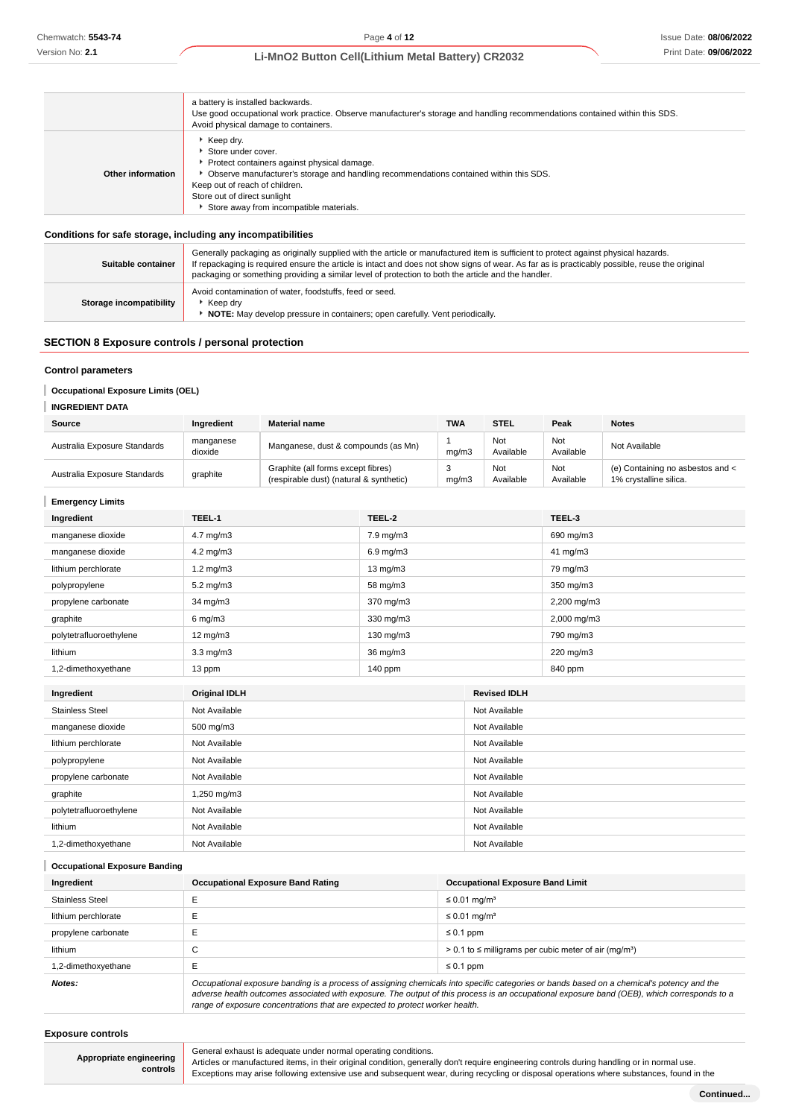|                   | a battery is installed backwards.<br>Use good occupational work practice. Observe manufacturer's storage and handling recommendations contained within this SDS.<br>Avoid physical damage to containers.                                                                                                      |
|-------------------|---------------------------------------------------------------------------------------------------------------------------------------------------------------------------------------------------------------------------------------------------------------------------------------------------------------|
| Other information | $\blacktriangleright$ Keep dry.<br>Store under cover.<br>Protect containers against physical damage.<br>• Observe manufacturer's storage and handling recommendations contained within this SDS.<br>Keep out of reach of children.<br>Store out of direct sunlight<br>Store away from incompatible materials. |

### **Conditions for safe storage, including any incompatibilities**

| Suitable container      | Generally packaging as originally supplied with the article or manufactured item is sufficient to protect against physical hazards.<br>If repackaging is required ensure the article is intact and does not show signs of wear. As far as is practicably possible, reuse the original<br>packaging or something providing a similar level of protection to both the article and the handler. |  |
|-------------------------|----------------------------------------------------------------------------------------------------------------------------------------------------------------------------------------------------------------------------------------------------------------------------------------------------------------------------------------------------------------------------------------------|--|
| Storage incompatibility | Avoid contamination of water, foodstuffs, feed or seed.<br>Keep drv<br><b>NOTE:</b> May develop pressure in containers; open carefully. Vent periodically.                                                                                                                                                                                                                                   |  |

# **SECTION 8 Exposure controls / personal protection**

### **Control parameters**

**Occupational Exposure Limits (OEL)** ı

# **INGREDIENT DATA**

| Source                       | Ingredient           | <b>Material name</b>                                                          | <b>TWA</b> | <b>STEL</b>      | Peak             | <b>Notes</b>                                               |
|------------------------------|----------------------|-------------------------------------------------------------------------------|------------|------------------|------------------|------------------------------------------------------------|
| Australia Exposure Standards | manganese<br>dioxide | Manganese, dust & compounds (as Mn)                                           | ma/m3      | Not<br>Available | Not<br>Available | Not Available                                              |
| Australia Exposure Standards | graphite             | Graphite (all forms except fibres)<br>(respirable dust) (natural & synthetic) | mq/m3      | Not<br>Available | Not<br>Available | (e) Containing no asbestos and <<br>1% crystalline silica. |

### **Emergency Limits**

| Ingredient              | TEEL-1               | TEEL-2             | TEEL-3                 |
|-------------------------|----------------------|--------------------|------------------------|
| manganese dioxide       | $4.7 \text{ mg/m}$ 3 | 7.9 mg/m3          | 690 mg/m3              |
| manganese dioxide       | $4.2 \text{ mg/m}$ 3 | $6.9 \text{ mg/m}$ | $41 \text{ mg/m}$ 3    |
| lithium perchlorate     | $1.2 \text{ mg/m}$ 3 | $13 \text{ mg/m}$  | 79 mg/m3               |
| polypropylene           | $5.2 \text{ mg/m}$ 3 | 58 mg/m3           | 350 mg/m3              |
| propylene carbonate     | 34 mg/m3             | 370 mg/m3          | $2,200 \text{ mg/m}$ 3 |
| graphite                | $6 \text{ mg/m}$ 3   | 330 mg/m3          | $2,000 \text{ mg/m}$ 3 |
| polytetrafluoroethylene | $12 \text{ mg/m}$    | 130 mg/m3          | 790 mg/m3              |
| lithium                 | $3.3 \text{ mg/m}$   | 36 mg/m3           | 220 mg/m3              |
| 1,2-dimethoxyethane     | 13 ppm               | $140$ ppm          | 840 ppm                |

| Ingredient              | <b>Original IDLH</b> | <b>Revised IDLH</b> |
|-------------------------|----------------------|---------------------|
| <b>Stainless Steel</b>  | Not Available        | Not Available       |
| manganese dioxide       | 500 mg/m3            | Not Available       |
| lithium perchlorate     | Not Available        | Not Available       |
| polypropylene           | Not Available        | Not Available       |
| propylene carbonate     | Not Available        | Not Available       |
| graphite                | 1,250 mg/m3          | Not Available       |
| polytetrafluoroethylene | Not Available        | Not Available       |
| lithium                 | Not Available        | Not Available       |
| 1,2-dimethoxyethane     | Not Available        | Not Available       |

| <b>Occupational Exposure Banding</b> |                                                                                                                                           |                                         |  |
|--------------------------------------|-------------------------------------------------------------------------------------------------------------------------------------------|-----------------------------------------|--|
| Ingredient                           | <b>Occupational Exposure Band Rating</b>                                                                                                  | <b>Occupational Exposure Band Limit</b> |  |
| <b>Stainless Steel</b>               |                                                                                                                                           | $\leq$ 0.01 mg/m <sup>3</sup>           |  |
| lithium perchlorate                  |                                                                                                                                           | $\leq$ 0.01 mg/m <sup>3</sup>           |  |
| propylene carbonate                  |                                                                                                                                           | $\leq 0.1$ ppm                          |  |
| lithium                              | $\sim$<br>$> 0.1$ to $\leq$ milligrams per cubic meter of air (mg/m <sup>3</sup> )<br>◡                                                   |                                         |  |
| 1,2-dimethoxyethane                  | -                                                                                                                                         | $\leq 0.1$ ppm                          |  |
| Notes:                               | Occupational exposure banding is a process of assigning chemicals into specific categories or bands based on a chemical's potency and the |                                         |  |

adverse health outcomes associated with exposure. The output of this process is an occupational exposure band (OEB), which corresponds to a range of exposure concentrations that are expected to protect worker health.

### **Exposure controls**

**Appropriate engineering controls** General exhaust is adequate under normal operating conditions.

Articles or manufactured items, in their original condition, generally don't require engineering controls during handling or in normal use. Exceptions may arise following extensive use and subsequent wear, during recycling or disposal operations where substances, found in the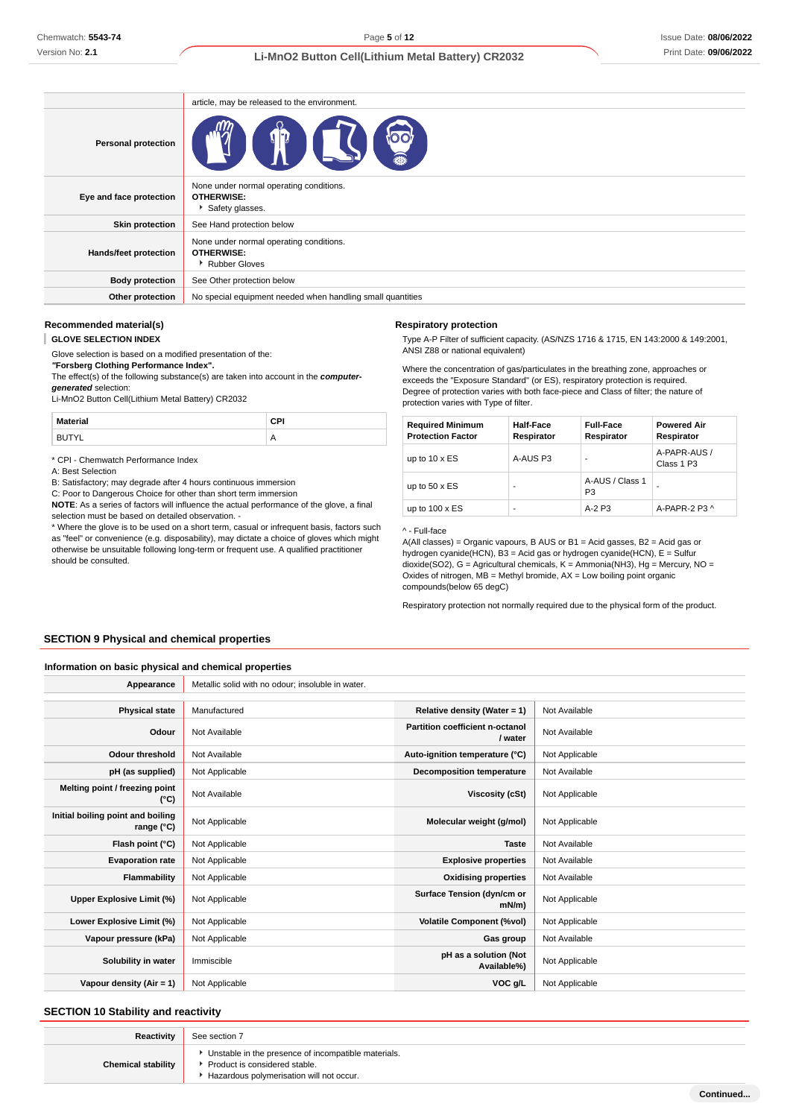# Issue Date: **08/06/2022** Print Date: **09/06/2022**

# **Li-MnO2 Button Cell(Lithium Metal Battery) CR2032**

|                              | article, may be released to the environment.                                    |
|------------------------------|---------------------------------------------------------------------------------|
| <b>Personal protection</b>   | <b>OO!</b><br>H<br>ILSI                                                         |
| Eye and face protection      | None under normal operating conditions.<br><b>OTHERWISE:</b><br>Safety glasses. |
| <b>Skin protection</b>       | See Hand protection below                                                       |
| <b>Hands/feet protection</b> | None under normal operating conditions.<br><b>OTHERWISE:</b><br>Rubber Gloves   |
| <b>Body protection</b>       | See Other protection below                                                      |
| Other protection             | No special equipment needed when handling small quantities                      |

### **Recommended material(s)**

#### T **GLOVE SELECTION INDEX**

Glove selection is based on a modified presentation of the: **"Forsberg Clothing Performance Index".**

The effect(s) of the following substance(s) are taken into account in the **computergenerated** selection:

Li-MnO2 Button Cell(Lithium Metal Battery) CR2032

| <b>Material</b>   | rы                  |
|-------------------|---------------------|
| ⊤∨<br>$\cdot$ $-$ | $\mathsf{m}$<br>. . |

\* CPI - Chemwatch Performance Index

A: Best Selection

B: Satisfactory; may degrade after 4 hours continuous immersion

C: Poor to Dangerous Choice for other than short term immersion

**NOTE**: As a series of factors will influence the actual performance of the glove, a final selection must be based on detailed observation.

\* Where the glove is to be used on a short term, casual or infrequent basis, factors such as "feel" or convenience (e.g. disposability), may dictate a choice of gloves which might otherwise be unsuitable following long-term or frequent use. A qualified practitioner should be consulted.

### **Respiratory protection**

Type A-P Filter of sufficient capacity. (AS/NZS 1716 & 1715, EN 143:2000 & 149:2001, ANSI Z88 or national equivalent)

Where the concentration of gas/particulates in the breathing zone, approaches or exceeds the "Exposure Standard" (or ES), respiratory protection is required. Degree of protection varies with both face-piece and Class of filter; the nature of protection varies with Type of filter.

| <b>Required Minimum</b><br><b>Protection Factor</b> | <b>Half-Face</b><br>Respirator | <b>Full-Face</b><br>Respirator    | <b>Powered Air</b><br>Respirator |
|-----------------------------------------------------|--------------------------------|-----------------------------------|----------------------------------|
| up to $10 \times ES$                                | A-AUS P3                       |                                   | A-PAPR-AUS /<br>Class 1 P3       |
| up to $50 \times ES$                                |                                | A-AUS / Class 1<br>P <sub>3</sub> |                                  |
| up to $100 \times ES$                               |                                | $A-2P3$                           | A-PAPR-2 P3 ^                    |

^ - Full-face

A(All classes) = Organic vapours, B AUS or B1 = Acid gasses, B2 = Acid gas or hydrogen cyanide(HCN), B3 = Acid gas or hydrogen cyanide(HCN), E = Sulfur dioxide(SO2), G = Agricultural chemicals, K = Ammonia(NH3), Hg = Mercury, NO = Oxides of nitrogen,  $MB =$  Methyl bromide,  $AX =$  Low boiling point organic compounds(below 65 degC)

Respiratory protection not normally required due to the physical form of the product.

### **SECTION 9 Physical and chemical properties**

### **Information on basic physical and chemical properties**

| Appearance                                      | Metallic solid with no odour; insoluble in water. |                                            |                |
|-------------------------------------------------|---------------------------------------------------|--------------------------------------------|----------------|
|                                                 |                                                   |                                            |                |
| <b>Physical state</b>                           | Manufactured                                      | Relative density (Water = 1)               | Not Available  |
| Odour                                           | Not Available                                     | Partition coefficient n-octanol<br>/ water | Not Available  |
| <b>Odour threshold</b>                          | Not Available                                     | Auto-ignition temperature (°C)             | Not Applicable |
| pH (as supplied)                                | Not Applicable                                    | <b>Decomposition temperature</b>           | Not Available  |
| Melting point / freezing point<br>(°C)          | Not Available                                     | Viscosity (cSt)                            | Not Applicable |
| Initial boiling point and boiling<br>range (°C) | Not Applicable                                    | Molecular weight (g/mol)                   | Not Applicable |
| Flash point (°C)                                | Not Applicable                                    | <b>Taste</b>                               | Not Available  |
| <b>Evaporation rate</b>                         | Not Applicable                                    | <b>Explosive properties</b>                | Not Available  |
| Flammability                                    | Not Applicable                                    | <b>Oxidising properties</b>                | Not Available  |
| Upper Explosive Limit (%)                       | Not Applicable                                    | Surface Tension (dyn/cm or<br>mN/m         | Not Applicable |
| Lower Explosive Limit (%)                       | Not Applicable                                    | <b>Volatile Component (%vol)</b>           | Not Applicable |
| Vapour pressure (kPa)                           | Not Applicable                                    | Gas group                                  | Not Available  |
| Solubility in water                             | Immiscible                                        | pH as a solution (Not<br>Available%)       | Not Applicable |
| Vapour density (Air = 1)                        | Not Applicable                                    | VOC g/L                                    | Not Applicable |

### **SECTION 10 Stability and reactivity**

| Reactivity                | See section 7                                                                                                                    |
|---------------------------|----------------------------------------------------------------------------------------------------------------------------------|
| <b>Chemical stability</b> | Unstable in the presence of incompatible materials.<br>Product is considered stable.<br>Hazardous polymerisation will not occur. |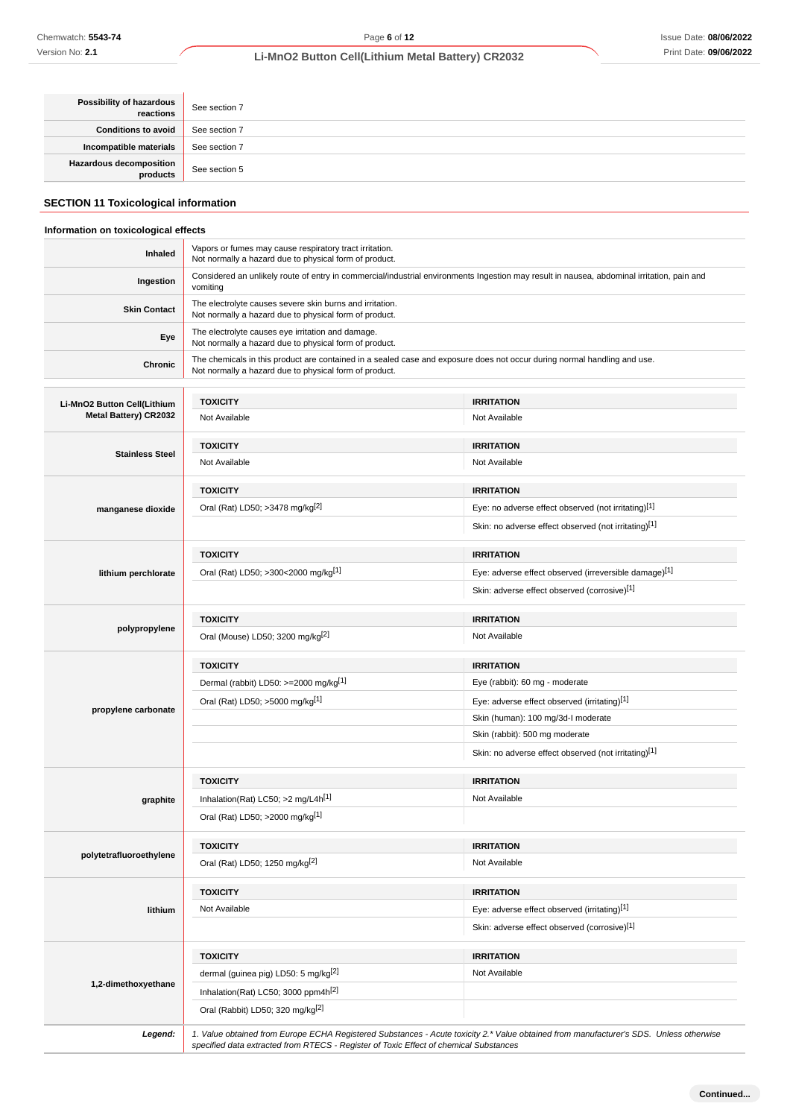| <b>Possibility of hazardous</b><br>reactions | See section 7 |
|----------------------------------------------|---------------|
| <b>Conditions to avoid</b>                   | See section 7 |
| Incompatible materials                       | See section 7 |
| Hazardous decomposition<br>  products        | See section 5 |

# **SECTION 11 Toxicological information**

### **Information on toxicological effects**

| Inhaled                     | Vapors or fumes may cause respiratory tract irritation.<br>Not normally a hazard due to physical form of product.                                      |                                                                                                                          |  |  |
|-----------------------------|--------------------------------------------------------------------------------------------------------------------------------------------------------|--------------------------------------------------------------------------------------------------------------------------|--|--|
| Ingestion                   | Considered an unlikely route of entry in commercial/industrial environments Ingestion may result in nausea, abdominal irritation, pain and<br>vomiting |                                                                                                                          |  |  |
| <b>Skin Contact</b>         | The electrolyte causes severe skin burns and irritation.<br>Not normally a hazard due to physical form of product.                                     |                                                                                                                          |  |  |
| Eye                         | The electrolyte causes eye irritation and damage.<br>Not normally a hazard due to physical form of product.                                            |                                                                                                                          |  |  |
| Chronic                     | Not normally a hazard due to physical form of product.                                                                                                 | The chemicals in this product are contained in a sealed case and exposure does not occur during normal handling and use. |  |  |
|                             |                                                                                                                                                        |                                                                                                                          |  |  |
| Li-MnO2 Button Cell(Lithium | <b>TOXICITY</b>                                                                                                                                        | <b>IRRITATION</b>                                                                                                        |  |  |
| Metal Battery) CR2032       | Not Available                                                                                                                                          | Not Available                                                                                                            |  |  |
|                             | <b>TOXICITY</b>                                                                                                                                        | <b>IRRITATION</b>                                                                                                        |  |  |
| <b>Stainless Steel</b>      | Not Available                                                                                                                                          | Not Available                                                                                                            |  |  |
|                             |                                                                                                                                                        |                                                                                                                          |  |  |
|                             | <b>TOXICITY</b>                                                                                                                                        | <b>IRRITATION</b>                                                                                                        |  |  |
| manganese dioxide           | Oral (Rat) LD50; >3478 mg/kg <sup>[2]</sup>                                                                                                            | Eye: no adverse effect observed (not irritating)[1]                                                                      |  |  |
|                             |                                                                                                                                                        | Skin: no adverse effect observed (not irritating)[1]                                                                     |  |  |
|                             | <b>TOXICITY</b>                                                                                                                                        | <b>IRRITATION</b>                                                                                                        |  |  |
| lithium perchlorate         | Oral (Rat) LD50; >300<2000 mg/kg[1]                                                                                                                    | Eye: adverse effect observed (irreversible damage)[1]                                                                    |  |  |
|                             |                                                                                                                                                        | Skin: adverse effect observed (corrosive)[1]                                                                             |  |  |
|                             |                                                                                                                                                        |                                                                                                                          |  |  |
| polypropylene               | <b>TOXICITY</b>                                                                                                                                        | <b>IRRITATION</b>                                                                                                        |  |  |
|                             | Oral (Mouse) LD50; 3200 mg/kg <sup>[2]</sup>                                                                                                           | Not Available                                                                                                            |  |  |
|                             | <b>TOXICITY</b>                                                                                                                                        | <b>IRRITATION</b>                                                                                                        |  |  |
|                             | Dermal (rabbit) LD50: >=2000 mg/kg[1]                                                                                                                  | Eye (rabbit): 60 mg - moderate                                                                                           |  |  |
|                             | Oral (Rat) LD50; >5000 mg/kg <sup>[1]</sup>                                                                                                            | Eye: adverse effect observed (irritating)[1]                                                                             |  |  |
| propylene carbonate         |                                                                                                                                                        | Skin (human): 100 mg/3d-I moderate                                                                                       |  |  |
|                             |                                                                                                                                                        | Skin (rabbit): 500 mg moderate                                                                                           |  |  |
|                             |                                                                                                                                                        | Skin: no adverse effect observed (not irritating)[1]                                                                     |  |  |
|                             |                                                                                                                                                        |                                                                                                                          |  |  |
|                             | <b>TOXICITY</b>                                                                                                                                        | <b>IRRITATION</b>                                                                                                        |  |  |
| graphite                    | Inhalation(Rat) LC50; >2 mg/L4h <sup>[1]</sup>                                                                                                         | Not Available                                                                                                            |  |  |
|                             | Oral (Rat) LD50; >2000 mg/kg[1]                                                                                                                        |                                                                                                                          |  |  |
|                             | <b>TOXICITY</b>                                                                                                                                        | <b>IRRITATION</b>                                                                                                        |  |  |
| polytetrafluoroethylene     | Oral (Rat) LD50; 1250 mg/kg[2]                                                                                                                         | Not Available                                                                                                            |  |  |
|                             |                                                                                                                                                        |                                                                                                                          |  |  |
|                             | <b>TOXICITY</b>                                                                                                                                        | <b>IRRITATION</b>                                                                                                        |  |  |
| lithium                     | Not Available                                                                                                                                          | Eye: adverse effect observed (irritating)[1]                                                                             |  |  |
|                             |                                                                                                                                                        | Skin: adverse effect observed (corrosive)[1]                                                                             |  |  |
|                             | <b>TOXICITY</b>                                                                                                                                        | <b>IRRITATION</b>                                                                                                        |  |  |
|                             | dermal (guinea pig) LD50: 5 mg/kg <sup>[2]</sup>                                                                                                       | Not Available                                                                                                            |  |  |
| 1,2-dimethoxyethane         | Inhalation(Rat) LC50; 3000 ppm4h <sup>[2]</sup>                                                                                                        |                                                                                                                          |  |  |
|                             | Oral (Rabbit) LD50; 320 mg/kg <sup>[2]</sup>                                                                                                           |                                                                                                                          |  |  |
|                             |                                                                                                                                                        |                                                                                                                          |  |  |

Legend: 1. Value obtained from Europe ECHA Registered Substances - Acute toxicity 2.\* Value obtained from manufacturer's SDS. Unless otherwise specified data extracted from RTECS - Register of Toxic Effect of chemical Substances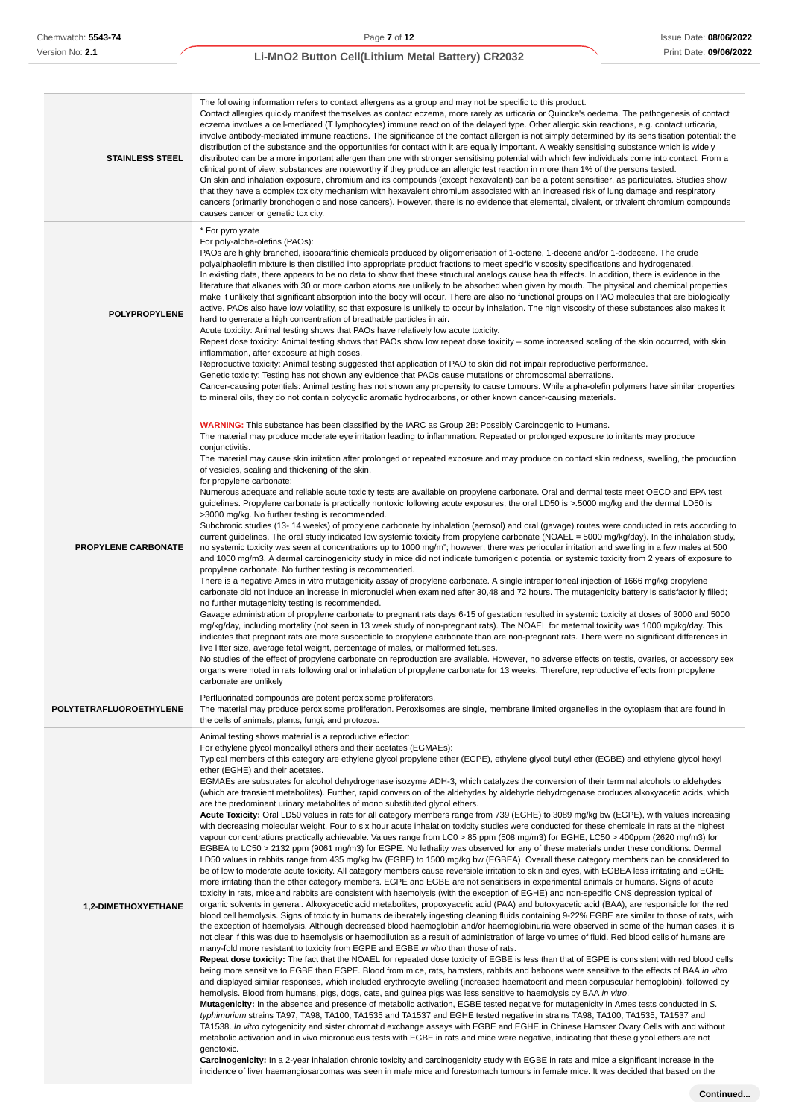| <b>STAINLESS STEEL</b>     | The following information refers to contact allergens as a group and may not be specific to this product.<br>Contact allergies quickly manifest themselves as contact eczema, more rarely as urticaria or Quincke's oedema. The pathogenesis of contact<br>eczema involves a cell-mediated (T lymphocytes) immune reaction of the delayed type. Other allergic skin reactions, e.g. contact urticaria,<br>involve antibody-mediated immune reactions. The significance of the contact allergen is not simply determined by its sensitisation potential: the<br>distribution of the substance and the opportunities for contact with it are equally important. A weakly sensitising substance which is widely<br>distributed can be a more important allergen than one with stronger sensitising potential with which few individuals come into contact. From a<br>clinical point of view, substances are noteworthy if they produce an allergic test reaction in more than 1% of the persons tested.<br>On skin and inhalation exposure, chromium and its compounds (except hexavalent) can be a potent sensitiser, as particulates. Studies show<br>that they have a complex toxicity mechanism with hexavalent chromium associated with an increased risk of lung damage and respiratory<br>cancers (primarily bronchogenic and nose cancers). However, there is no evidence that elemental, divalent, or trivalent chromium compounds<br>causes cancer or genetic toxicity.                                                                                                                                                                                                                                                                                                                                                                                                                                                                                                                                                                                                                                                                                                                                                                                                                                                                                                                                                                                                                                                                                                                                                                                                                                                                                                                                                                                                                                                                                                                                                                                                                                                                                                                                                                                                                                                                                                                                                                                                                                                                                                                                                                                                                                                                                                                                                                                                                                                                                                     |
|----------------------------|------------------------------------------------------------------------------------------------------------------------------------------------------------------------------------------------------------------------------------------------------------------------------------------------------------------------------------------------------------------------------------------------------------------------------------------------------------------------------------------------------------------------------------------------------------------------------------------------------------------------------------------------------------------------------------------------------------------------------------------------------------------------------------------------------------------------------------------------------------------------------------------------------------------------------------------------------------------------------------------------------------------------------------------------------------------------------------------------------------------------------------------------------------------------------------------------------------------------------------------------------------------------------------------------------------------------------------------------------------------------------------------------------------------------------------------------------------------------------------------------------------------------------------------------------------------------------------------------------------------------------------------------------------------------------------------------------------------------------------------------------------------------------------------------------------------------------------------------------------------------------------------------------------------------------------------------------------------------------------------------------------------------------------------------------------------------------------------------------------------------------------------------------------------------------------------------------------------------------------------------------------------------------------------------------------------------------------------------------------------------------------------------------------------------------------------------------------------------------------------------------------------------------------------------------------------------------------------------------------------------------------------------------------------------------------------------------------------------------------------------------------------------------------------------------------------------------------------------------------------------------------------------------------------------------------------------------------------------------------------------------------------------------------------------------------------------------------------------------------------------------------------------------------------------------------------------------------------------------------------------------------------------------------------------------------------------------------------------------------------------------------------------------------------------------------------------------------------------------------------------------------------------------------------------------------------------------------------------------------------------------------------------------------------------------------------------------------------------------------------------------------------------------------------------------------------------------------------------------------------------------------------------------------------------------------------------------------------------------------|
| POLYPROPYLENE              | * For pyrolyzate<br>For poly-alpha-olefins (PAOs):<br>PAOs are highly branched, isoparaffinic chemicals produced by oligomerisation of 1-octene, 1-decene and/or 1-dodecene. The crude<br>polyalphaolefin mixture is then distilled into appropriate product fractions to meet specific viscosity specifications and hydrogenated.<br>In existing data, there appears to be no data to show that these structural analogs cause health effects. In addition, there is evidence in the<br>literature that alkanes with 30 or more carbon atoms are unlikely to be absorbed when given by mouth. The physical and chemical properties<br>make it unlikely that significant absorption into the body will occur. There are also no functional groups on PAO molecules that are biologically<br>active. PAOs also have low volatility, so that exposure is unlikely to occur by inhalation. The high viscosity of these substances also makes it<br>hard to generate a high concentration of breathable particles in air.<br>Acute toxicity: Animal testing shows that PAOs have relatively low acute toxicity.<br>Repeat dose toxicity: Animal testing shows that PAOs show low repeat dose toxicity – some increased scaling of the skin occurred, with skin<br>inflammation, after exposure at high doses.<br>Reproductive toxicity: Animal testing suggested that application of PAO to skin did not impair reproductive performance.<br>Genetic toxicity: Testing has not shown any evidence that PAOs cause mutations or chromosomal aberrations.<br>Cancer-causing potentials: Animal testing has not shown any propensity to cause tumours. While alpha-olefin polymers have similar properties<br>to mineral oils, they do not contain polycyclic aromatic hydrocarbons, or other known cancer-causing materials.                                                                                                                                                                                                                                                                                                                                                                                                                                                                                                                                                                                                                                                                                                                                                                                                                                                                                                                                                                                                                                                                                                                                                                                                                                                                                                                                                                                                                                                                                                                                                                                                                                                                                                                                                                                                                                                                                                                                                                                                                                                                                                                                                             |
| <b>PROPYLENE CARBONATE</b> | <b>WARNING:</b> This substance has been classified by the IARC as Group 2B: Possibly Carcinogenic to Humans.<br>The material may produce moderate eye irritation leading to inflammation. Repeated or prolonged exposure to irritants may produce<br>conjunctivitis.<br>The material may cause skin irritation after prolonged or repeated exposure and may produce on contact skin redness, swelling, the production<br>of vesicles, scaling and thickening of the skin.<br>for propylene carbonate:<br>Numerous adequate and reliable acute toxicity tests are available on propylene carbonate. Oral and dermal tests meet OECD and EPA test<br>guidelines. Propylene carbonate is practically nontoxic following acute exposures; the oral LD50 is > 5000 mg/kg and the dermal LD50 is<br>>3000 mg/kg. No further testing is recommended.<br>Subchronic studies (13-14 weeks) of propylene carbonate by inhalation (aerosol) and oral (gavage) routes were conducted in rats according to<br>current guidelines. The oral study indicated low systemic toxicity from propylene carbonate (NOAEL = 5000 mg/kg/day). In the inhalation study,<br>no systemic toxicity was seen at concentrations up to 1000 mg/m"; however, there was periocular irritation and swelling in a few males at 500<br>and 1000 mg/m3. A dermal carcinogenicity study in mice did not indicate tumorigenic potential or systemic toxicity from 2 years of exposure to<br>propylene carbonate. No further testing is recommended.<br>There is a negative Ames in vitro mutagenicity assay of propylene carbonate. A single intraperitoneal injection of 1666 mg/kg propylene<br>carbonate did not induce an increase in micronuclei when examined after 30,48 and 72 hours. The mutagenicity battery is satisfactorily filled;<br>no further mutagenicity testing is recommended.<br>Gavage administration of propylene carbonate to pregnant rats days 6-15 of gestation resulted in systemic toxicity at doses of 3000 and 5000<br>mg/kg/day, including mortality (not seen in 13 week study of non-pregnant rats). The NOAEL for maternal toxicity was 1000 mg/kg/day. This<br>indicates that pregnant rats are more susceptible to propylene carbonate than are non-pregnant rats. There were no significant differences in<br>live litter size, average fetal weight, percentage of males, or malformed fetuses.<br>No studies of the effect of propylene carbonate on reproduction are available. However, no adverse effects on testis, ovaries, or accessory sex<br>organs were noted in rats following oral or inhalation of propylene carbonate for 13 weeks. Therefore, reproductive effects from propylene<br>carbonate are unlikely                                                                                                                                                                                                                                                                                                                                                                                                                                                                                                                                                                                                                                                                                                                                                                                                                                                                                                                                                                                                                                                                                                                                                                                                                                                       |
| POLYTETRAFLUOROETHYLENE    | Perfluorinated compounds are potent peroxisome proliferators.<br>The material may produce peroxisome proliferation. Peroxisomes are single, membrane limited organelles in the cytoplasm that are found in<br>the cells of animals, plants, fungi, and protozoa.                                                                                                                                                                                                                                                                                                                                                                                                                                                                                                                                                                                                                                                                                                                                                                                                                                                                                                                                                                                                                                                                                                                                                                                                                                                                                                                                                                                                                                                                                                                                                                                                                                                                                                                                                                                                                                                                                                                                                                                                                                                                                                                                                                                                                                                                                                                                                                                                                                                                                                                                                                                                                                                                                                                                                                                                                                                                                                                                                                                                                                                                                                                                                                                                                                                                                                                                                                                                                                                                                                                                                                                                                                                                                                                   |
| <b>1,2-DIMETHOXYETHANE</b> | Animal testing shows material is a reproductive effector:<br>For ethylene glycol monoalkyl ethers and their acetates (EGMAEs):<br>Typical members of this category are ethylene glycol propylene ether (EGPE), ethylene glycol butyl ether (EGBE) and ethylene glycol hexyl<br>ether (EGHE) and their acetates.<br>EGMAEs are substrates for alcohol dehydrogenase isozyme ADH-3, which catalyzes the conversion of their terminal alcohols to aldehydes<br>(which are transient metabolites). Further, rapid conversion of the aldehydes by aldehyde dehydrogenase produces alkoxyacetic acids, which<br>are the predominant urinary metabolites of mono substituted glycol ethers.<br>Acute Toxicity: Oral LD50 values in rats for all category members range from 739 (EGHE) to 3089 mg/kg bw (EGPE), with values increasing<br>with decreasing molecular weight. Four to six hour acute inhalation toxicity studies were conducted for these chemicals in rats at the highest<br>vapour concentrations practically achievable. Values range from LC0 > 85 ppm (508 mg/m3) for EGHE, LC50 > 400ppm (2620 mg/m3) for<br>EGBEA to LC50 > 2132 ppm (9061 mg/m3) for EGPE. No lethality was observed for any of these materials under these conditions. Dermal<br>LD50 values in rabbits range from 435 mg/kg bw (EGBE) to 1500 mg/kg bw (EGBEA). Overall these category members can be considered to<br>be of low to moderate acute toxicity. All category members cause reversible irritation to skin and eyes, with EGBEA less irritating and EGHE<br>more irritating than the other category members. EGPE and EGBE are not sensitisers in experimental animals or humans. Signs of acute<br>toxicity in rats, mice and rabbits are consistent with haemolysis (with the exception of EGHE) and non-specific CNS depression typical of<br>organic solvents in general. Alkoxyacetic acid metabolites, propoxyacetic acid (PAA) and butoxyacetic acid (BAA), are responsible for the red<br>blood cell hemolysis. Signs of toxicity in humans deliberately ingesting cleaning fluids containing 9-22% EGBE are similar to those of rats, with<br>the exception of haemolysis. Although decreased blood haemoglobin and/or haemoglobinuria were observed in some of the human cases, it is<br>not clear if this was due to haemolysis or haemodilution as a result of administration of large volumes of fluid. Red blood cells of humans are<br>many-fold more resistant to toxicity from EGPE and EGBE in vitro than those of rats.<br>Repeat dose toxicity: The fact that the NOAEL for repeated dose toxicity of EGBE is less than that of EGPE is consistent with red blood cells<br>being more sensitive to EGBE than EGPE. Blood from mice, rats, hamsters, rabbits and baboons were sensitive to the effects of BAA in vitro<br>and displayed similar responses, which included erythrocyte swelling (increased haematocrit and mean corpuscular hemoglobin), followed by<br>hemolysis. Blood from humans, pigs, dogs, cats, and guinea pigs was less sensitive to haemolysis by BAA in vitro.<br><b>Mutagenicity:</b> In the absence and presence of metabolic activation, EGBE tested negative for mutagenicity in Ames tests conducted in S.<br>typhimurium strains TA97, TA98, TA100, TA1535 and TA1537 and EGHE tested negative in strains TA98, TA100, TA1535, TA1537 and<br>TA1538. In vitro cytogenicity and sister chromatid exchange assays with EGBE and EGHE in Chinese Hamster Ovary Cells with and without<br>metabolic activation and in vivo micronucleus tests with EGBE in rats and mice were negative, indicating that these glycol ethers are not<br>genotoxic.<br>Carcinogenicity: In a 2-year inhalation chronic toxicity and carcinogenicity study with EGBE in rats and mice a significant increase in the<br>incidence of liver haemangiosarcomas was seen in male mice and forestomach tumours in female mice. It was decided that based on the |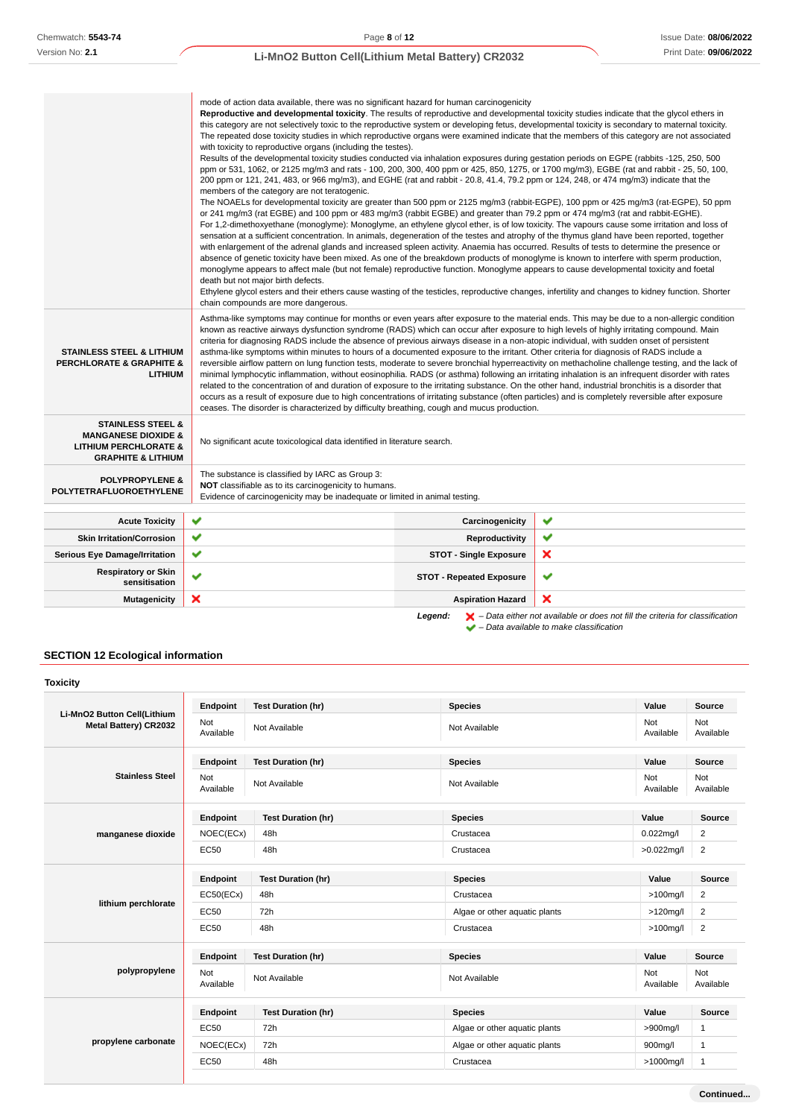|                                                                    | mode of action data available, there was no significant hazard for human carcinogenicity                                                                                                                                                                                              |                                                                                                                                                    |                                                                                                                                                   |  |  |  |
|--------------------------------------------------------------------|---------------------------------------------------------------------------------------------------------------------------------------------------------------------------------------------------------------------------------------------------------------------------------------|----------------------------------------------------------------------------------------------------------------------------------------------------|---------------------------------------------------------------------------------------------------------------------------------------------------|--|--|--|
|                                                                    | Reproductive and developmental toxicity. The results of reproductive and developmental toxicity studies indicate that the glycol ethers in                                                                                                                                            |                                                                                                                                                    |                                                                                                                                                   |  |  |  |
|                                                                    | this category are not selectively toxic to the reproductive system or developing fetus, developmental toxicity is secondary to maternal toxicity.                                                                                                                                     |                                                                                                                                                    |                                                                                                                                                   |  |  |  |
|                                                                    | The repeated dose toxicity studies in which reproductive organs were examined indicate that the members of this category are not associated                                                                                                                                           |                                                                                                                                                    |                                                                                                                                                   |  |  |  |
|                                                                    | with toxicity to reproductive organs (including the testes).                                                                                                                                                                                                                          |                                                                                                                                                    |                                                                                                                                                   |  |  |  |
|                                                                    | Results of the developmental toxicity studies conducted via inhalation exposures during gestation periods on EGPE (rabbits -125, 250, 500<br>ppm or 531, 1062, or 2125 mg/m3 and rats - 100, 200, 300, 400 ppm or 425, 850, 1275, or 1700 mg/m3), EGBE (rat and rabbit - 25, 50, 100, |                                                                                                                                                    |                                                                                                                                                   |  |  |  |
|                                                                    | 200 ppm or 121, 241, 483, or 966 mg/m3), and EGHE (rat and rabbit - 20.8, 41.4, 79.2 ppm or 124, 248, or 474 mg/m3) indicate that the                                                                                                                                                 |                                                                                                                                                    |                                                                                                                                                   |  |  |  |
|                                                                    | members of the category are not teratogenic.                                                                                                                                                                                                                                          |                                                                                                                                                    |                                                                                                                                                   |  |  |  |
|                                                                    |                                                                                                                                                                                                                                                                                       |                                                                                                                                                    | The NOAELs for developmental toxicity are greater than 500 ppm or 2125 mg/m3 (rabbit-EGPE), 100 ppm or 425 mg/m3 (rat-EGPE), 50 ppm               |  |  |  |
|                                                                    | or 241 mg/m3 (rat EGBE) and 100 ppm or 483 mg/m3 (rabbit EGBE) and greater than 79.2 ppm or 474 mg/m3 (rat and rabbit-EGHE).                                                                                                                                                          |                                                                                                                                                    |                                                                                                                                                   |  |  |  |
|                                                                    |                                                                                                                                                                                                                                                                                       |                                                                                                                                                    | For 1,2-dimethoxyethane (monoglyme): Monoglyme, an ethylene glycol ether, is of low toxicity. The vapours cause some irritation and loss of       |  |  |  |
|                                                                    | sensation at a sufficient concentration. In animals, degeneration of the testes and atrophy of the thymus gland have been reported, together                                                                                                                                          |                                                                                                                                                    |                                                                                                                                                   |  |  |  |
|                                                                    | with enlargement of the adrenal glands and increased spleen activity. Anaemia has occurred. Results of tests to determine the presence or                                                                                                                                             |                                                                                                                                                    |                                                                                                                                                   |  |  |  |
|                                                                    | absence of genetic toxicity have been mixed. As one of the breakdown products of monoglyme is known to interfere with sperm production,                                                                                                                                               |                                                                                                                                                    |                                                                                                                                                   |  |  |  |
|                                                                    | monoglyme appears to affect male (but not female) reproductive function. Monoglyme appears to cause developmental toxicity and foetal                                                                                                                                                 |                                                                                                                                                    |                                                                                                                                                   |  |  |  |
|                                                                    | death but not major birth defects.                                                                                                                                                                                                                                                    |                                                                                                                                                    |                                                                                                                                                   |  |  |  |
|                                                                    |                                                                                                                                                                                                                                                                                       |                                                                                                                                                    | Ethylene glycol esters and their ethers cause wasting of the testicles, reproductive changes, infertility and changes to kidney function. Shorter |  |  |  |
|                                                                    | chain compounds are more dangerous.                                                                                                                                                                                                                                                   |                                                                                                                                                    |                                                                                                                                                   |  |  |  |
|                                                                    |                                                                                                                                                                                                                                                                                       |                                                                                                                                                    | Asthma-like symptoms may continue for months or even years after exposure to the material ends. This may be due to a non-allergic condition       |  |  |  |
|                                                                    | known as reactive airways dysfunction syndrome (RADS) which can occur after exposure to high levels of highly irritating compound. Main                                                                                                                                               |                                                                                                                                                    |                                                                                                                                                   |  |  |  |
|                                                                    | criteria for diagnosing RADS include the absence of previous airways disease in a non-atopic individual, with sudden onset of persistent                                                                                                                                              |                                                                                                                                                    |                                                                                                                                                   |  |  |  |
| <b>STAINLESS STEEL &amp; LITHIUM</b>                               | asthma-like symptoms within minutes to hours of a documented exposure to the irritant. Other criteria for diagnosis of RADS include a                                                                                                                                                 |                                                                                                                                                    |                                                                                                                                                   |  |  |  |
| <b>PERCHLORATE &amp; GRAPHITE &amp;</b>                            |                                                                                                                                                                                                                                                                                       | reversible airflow pattern on lung function tests, moderate to severe bronchial hyperreactivity on methacholine challenge testing, and the lack of |                                                                                                                                                   |  |  |  |
| <b>LITHIUM</b>                                                     | minimal lymphocytic inflammation, without eosinophilia. RADS (or asthma) following an irritating inhalation is an infrequent disorder with rates                                                                                                                                      |                                                                                                                                                    |                                                                                                                                                   |  |  |  |
|                                                                    | related to the concentration of and duration of exposure to the irritating substance. On the other hand, industrial bronchitis is a disorder that                                                                                                                                     |                                                                                                                                                    |                                                                                                                                                   |  |  |  |
|                                                                    | occurs as a result of exposure due to high concentrations of irritating substance (often particles) and is completely reversible after exposure<br>ceases. The disorder is characterized by difficulty breathing, cough and mucus production.                                         |                                                                                                                                                    |                                                                                                                                                   |  |  |  |
|                                                                    |                                                                                                                                                                                                                                                                                       |                                                                                                                                                    |                                                                                                                                                   |  |  |  |
| <b>STAINLESS STEEL &amp;</b>                                       |                                                                                                                                                                                                                                                                                       |                                                                                                                                                    |                                                                                                                                                   |  |  |  |
| <b>MANGANESE DIOXIDE &amp;</b><br><b>LITHIUM PERCHLORATE &amp;</b> | No significant acute toxicological data identified in literature search.                                                                                                                                                                                                              |                                                                                                                                                    |                                                                                                                                                   |  |  |  |
| <b>GRAPHITE &amp; LITHIUM</b>                                      |                                                                                                                                                                                                                                                                                       |                                                                                                                                                    |                                                                                                                                                   |  |  |  |
|                                                                    |                                                                                                                                                                                                                                                                                       |                                                                                                                                                    |                                                                                                                                                   |  |  |  |
| <b>POLYPROPYLENE &amp;</b>                                         | The substance is classified by IARC as Group 3:                                                                                                                                                                                                                                       |                                                                                                                                                    |                                                                                                                                                   |  |  |  |
| POLYTETRAFLUOROETHYLENE                                            | NOT classifiable as to its carcinogenicity to humans.                                                                                                                                                                                                                                 |                                                                                                                                                    |                                                                                                                                                   |  |  |  |
|                                                                    | Evidence of carcinogenicity may be inadequate or limited in animal testing.                                                                                                                                                                                                           |                                                                                                                                                    |                                                                                                                                                   |  |  |  |
| <b>Acute Toxicity</b>                                              | ✔                                                                                                                                                                                                                                                                                     | Carcinogenicity                                                                                                                                    | ✔                                                                                                                                                 |  |  |  |
| <b>Skin Irritation/Corrosion</b>                                   | ✔                                                                                                                                                                                                                                                                                     | Reproductivity                                                                                                                                     | ✔                                                                                                                                                 |  |  |  |
| <b>Serious Eye Damage/Irritation</b>                               | ✔                                                                                                                                                                                                                                                                                     | <b>STOT - Single Exposure</b>                                                                                                                      | ×                                                                                                                                                 |  |  |  |
| <b>Respiratory or Skin</b>                                         | v                                                                                                                                                                                                                                                                                     | <b>STOT - Repeated Exposure</b>                                                                                                                    | ✔                                                                                                                                                 |  |  |  |
| sensitisation                                                      |                                                                                                                                                                                                                                                                                       |                                                                                                                                                    |                                                                                                                                                   |  |  |  |
| <b>Mutagenicity</b>                                                | ×                                                                                                                                                                                                                                                                                     | <b>Aspiration Hazard</b>                                                                                                                           | ×                                                                                                                                                 |  |  |  |
|                                                                    |                                                                                                                                                                                                                                                                                       | Legend:                                                                                                                                            | $\blacktriangleright$ - Data either not available or does not fill the criteria for classification                                                |  |  |  |
|                                                                    |                                                                                                                                                                                                                                                                                       |                                                                                                                                                    | $\blacktriangleright$ - Data available to make classification                                                                                     |  |  |  |

# **SECTION 12 Ecological information**

| <b>Toxicity</b>                                      |                  |                           |                               |                  |                  |
|------------------------------------------------------|------------------|---------------------------|-------------------------------|------------------|------------------|
|                                                      | Endpoint         | <b>Test Duration (hr)</b> | <b>Species</b>                | Value            | Source           |
| Li-MnO2 Button Cell(Lithium<br>Metal Battery) CR2032 | Not<br>Available | Not Available             | Not Available                 | Not<br>Available | Not<br>Available |
|                                                      | Endpoint         | <b>Test Duration (hr)</b> | <b>Species</b>                | Value            | Source           |
| <b>Stainless Steel</b>                               | Not<br>Available | Not Available             | Not Available                 | Not<br>Available | Not<br>Available |
|                                                      | Endpoint         | <b>Test Duration (hr)</b> | <b>Species</b>                | Value            | Source           |
| manganese dioxide                                    | NOEC(ECx)        | 48h                       | Crustacea                     | $0.022$ mg/l     | $\overline{c}$   |
|                                                      | <b>EC50</b>      | 48h                       | Crustacea                     | $>0.022$ mg/l    | $\overline{2}$   |
|                                                      | Endpoint         | <b>Test Duration (hr)</b> | <b>Species</b>                | Value            | <b>Source</b>    |
|                                                      | EC50(ECx)        | 48h                       | Crustacea                     | $>100$ mg/l      | $\overline{2}$   |
| lithium perchlorate                                  | EC50             | 72h                       | Algae or other aquatic plants | $>120$ mg/l      | $\overline{2}$   |
|                                                      | EC50             | 48h                       | Crustacea                     | $>100$ mg/l      | $\overline{c}$   |
|                                                      | Endpoint         | <b>Test Duration (hr)</b> | <b>Species</b>                | Value            | Source           |
| polypropylene                                        | Not<br>Available | Not Available             | Not Available                 | Not<br>Available | Not<br>Available |
|                                                      | Endpoint         | <b>Test Duration (hr)</b> | <b>Species</b>                | Value            | Source           |
|                                                      | EC50             | 72h                       | Algae or other aquatic plants | >900mg/l         | 1                |
| propylene carbonate                                  | NOEC(ECx)        | 72h                       | Algae or other aquatic plants | 900mg/l          | $\mathbf{1}$     |
|                                                      | EC50             | 48h                       | Crustacea                     | >1000mg/l        | 1                |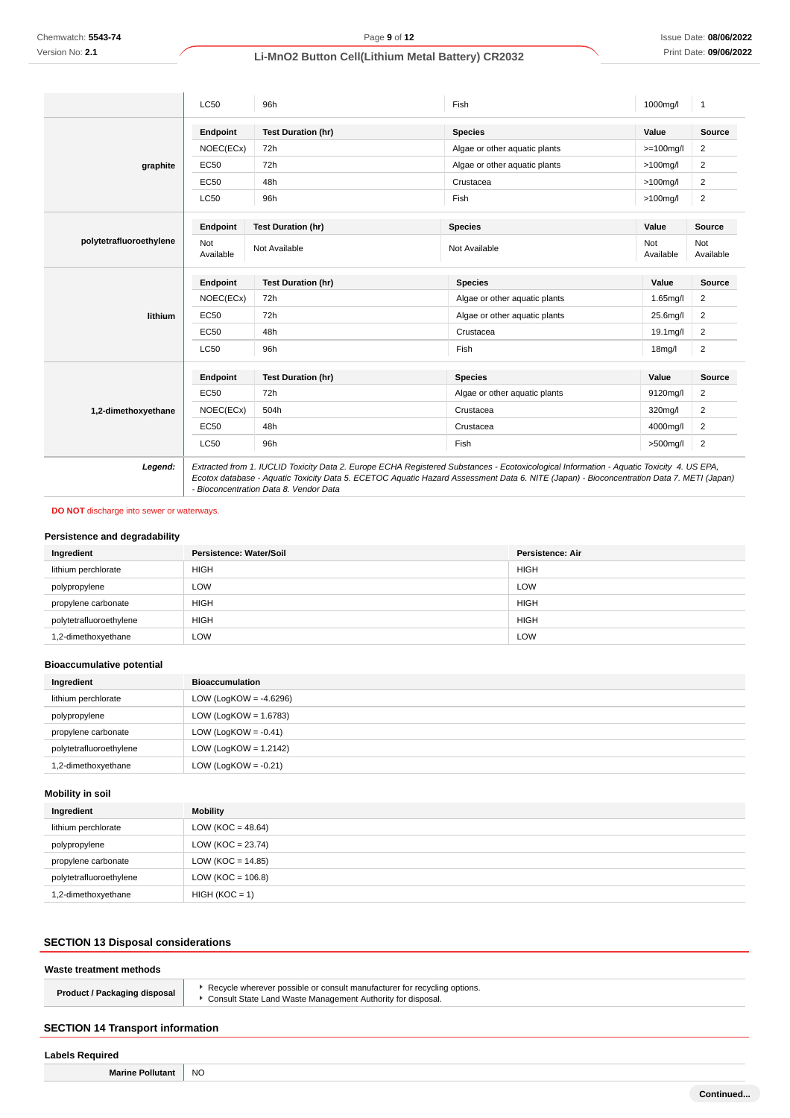|                         | <b>LC50</b>      | 96h                                    | Fish                                                                                                                                                                                                                                                                                 | 1000mg/l         | 1                       |
|-------------------------|------------------|----------------------------------------|--------------------------------------------------------------------------------------------------------------------------------------------------------------------------------------------------------------------------------------------------------------------------------------|------------------|-------------------------|
|                         | Endpoint         | <b>Test Duration (hr)</b>              | <b>Species</b>                                                                                                                                                                                                                                                                       | Value            | Source                  |
|                         | NOEC(ECx)        | 72h                                    | Algae or other aquatic plants                                                                                                                                                                                                                                                        | $>=100$ mg/l     | 2                       |
| graphite                | <b>EC50</b>      | 72h                                    | Algae or other aquatic plants                                                                                                                                                                                                                                                        | $>100$ mg/l      | 2                       |
|                         | EC50             | 48h                                    | Crustacea                                                                                                                                                                                                                                                                            | $>100$ mg/l      | 2                       |
|                         | <b>LC50</b>      | 96h                                    | Fish                                                                                                                                                                                                                                                                                 | $>100$ mg/l      | $\overline{c}$          |
|                         | Endpoint         | <b>Test Duration (hr)</b>              | <b>Species</b>                                                                                                                                                                                                                                                                       | Value            | Source                  |
| polytetrafluoroethylene | Not<br>Available | Not Available                          | Not Available                                                                                                                                                                                                                                                                        | Not<br>Available | Not<br>Available        |
|                         | Endpoint         | <b>Test Duration (hr)</b>              | <b>Species</b>                                                                                                                                                                                                                                                                       | Value            | Source                  |
|                         | NOEC(ECx)        | 72h                                    | Algae or other aquatic plants                                                                                                                                                                                                                                                        | 1.65mg/l         | $\overline{c}$          |
| lithium                 | EC50             | 72h                                    | Algae or other aquatic plants                                                                                                                                                                                                                                                        | 25.6mg/l         | $\overline{2}$          |
|                         | <b>EC50</b>      | 48h                                    | Crustacea                                                                                                                                                                                                                                                                            | 19.1mg/l         | $\overline{2}$          |
|                         | <b>LC50</b>      | 96h                                    | Fish                                                                                                                                                                                                                                                                                 | $18$ mg/l        | $\overline{c}$          |
|                         | <b>Endpoint</b>  | <b>Test Duration (hr)</b>              | <b>Species</b>                                                                                                                                                                                                                                                                       | Value            | <b>Source</b>           |
|                         | <b>EC50</b>      | 72h                                    | Algae or other aquatic plants                                                                                                                                                                                                                                                        | 9120mg/l         | $\overline{c}$          |
| 1,2-dimethoxyethane     | NOEC(ECx)        | 504h                                   | Crustacea                                                                                                                                                                                                                                                                            | 320mg/l          | $\overline{2}$          |
|                         | EC50             | 48h                                    | Crustacea                                                                                                                                                                                                                                                                            | 4000mg/l         | 2                       |
|                         | <b>LC50</b>      | 96h                                    | Fish                                                                                                                                                                                                                                                                                 | >500mg/l         | $\overline{\mathbf{c}}$ |
| Legend:                 |                  | - Bioconcentration Data 8. Vendor Data | Extracted from 1. IUCLID Toxicity Data 2. Europe ECHA Registered Substances - Ecotoxicological Information - Aquatic Toxicity 4. US EPA,<br>Ecotox database - Aquatic Toxicity Data 5. ECETOC Aquatic Hazard Assessment Data 6. NITE (Japan) - Bioconcentration Data 7. METI (Japan) |                  |                         |

### **DO NOT** discharge into sewer or waterways.

### **Persistence and degradability**

| Ingredient              | Persistence: Water/Soil | Persistence: Air |
|-------------------------|-------------------------|------------------|
| lithium perchlorate     | <b>HIGH</b>             | <b>HIGH</b>      |
| polypropylene           | <b>LOW</b>              | LOW              |
| propylene carbonate     | <b>HIGH</b>             | <b>HIGH</b>      |
| polytetrafluoroethylene | <b>HIGH</b>             | <b>HIGH</b>      |
| 1,2-dimethoxyethane     | LOW                     | LOW              |

# **Bioaccumulative potential**

| Ingredient              | <b>Bioaccumulation</b>    |
|-------------------------|---------------------------|
| lithium perchlorate     | LOW (LogKOW = $-4.6296$ ) |
| polypropylene           | LOW (LogKOW = $1.6783$ )  |
| propylene carbonate     | LOW (LogKOW = $-0.41$ )   |
| polytetrafluoroethylene | LOW (LogKOW = $1.2142$ )  |
| 1,2-dimethoxyethane     | LOW (LogKOW = $-0.21$ )   |

# **Mobility in soil**

| Ingredient              | Mobility              |
|-------------------------|-----------------------|
| lithium perchlorate     | LOW (KOC = $48.64$ )  |
| polypropylene           | $LOW (KOC = 23.74)$   |
| propylene carbonate     | $LOW (KOC = 14.85)$   |
| polytetrafluoroethylene | LOW ( $KOC = 106.8$ ) |
| 1,2-dimethoxyethane     | $HIGH (KOC = 1)$      |

# **SECTION 13 Disposal considerations**

# **Waste treatment methods**

| <b>Product / Packaging disposal</b> | ▶ Recycle wherever possible or consult manufacturer for recycling options.<br>▶ Consult State Land Waste Management Authority for disposal. |
|-------------------------------------|---------------------------------------------------------------------------------------------------------------------------------------------|
|                                     |                                                                                                                                             |

# **SECTION 14 Transport information**

| <b>Labels Required</b>  |           |  |
|-------------------------|-----------|--|
| <b>Marine Pollutant</b> | <b>NO</b> |  |
|                         |           |  |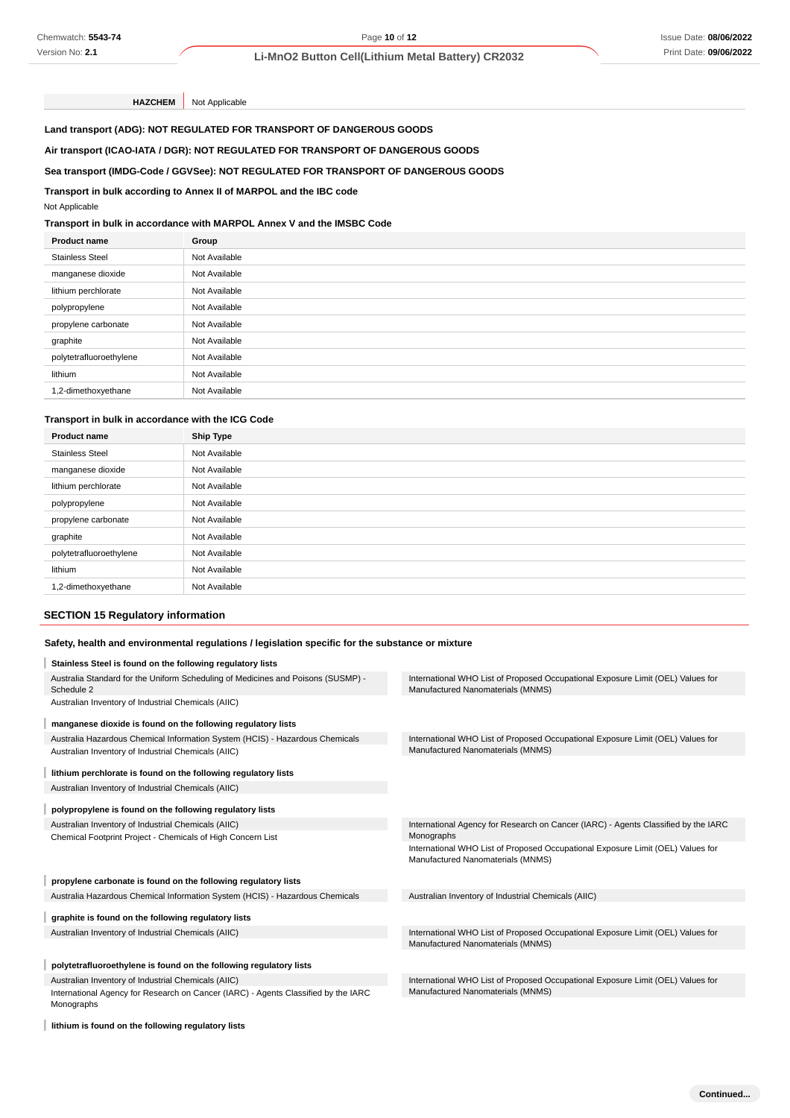### **Air transport (ICAO-IATA / DGR): NOT REGULATED FOR TRANSPORT OF DANGEROUS GOODS**

### **Sea transport (IMDG-Code / GGVSee): NOT REGULATED FOR TRANSPORT OF DANGEROUS GOODS**

### **Transport in bulk according to Annex II of MARPOL and the IBC code**

### **Transport in bulk in accordance with MARPOL Annex V and the IMSBC Code**

| <b>Product name</b>     | Group         |
|-------------------------|---------------|
| <b>Stainless Steel</b>  | Not Available |
| manganese dioxide       | Not Available |
| lithium perchlorate     | Not Available |
| polypropylene           | Not Available |
| propylene carbonate     | Not Available |
| graphite                | Not Available |
| polytetrafluoroethylene | Not Available |
| lithium                 | Not Available |
| 1,2-dimethoxyethane     | Not Available |

# **Transport in bulk in accordance with the ICG Code**

| <b>Product name</b>     | <b>Ship Type</b> |
|-------------------------|------------------|
| <b>Stainless Steel</b>  | Not Available    |
| manganese dioxide       | Not Available    |
| lithium perchlorate     | Not Available    |
| polypropylene           | Not Available    |
| propylene carbonate     | Not Available    |
| graphite                | Not Available    |
| polytetrafluoroethylene | Not Available    |
| lithium                 | Not Available    |
| 1,2-dimethoxyethane     | Not Available    |

### **SECTION 15 Regulatory information**

### **Safety, health and environmental regulations / legislation specific for the substance or mixture**

| Chemwatch: 5543-74                                                 |                                                                                                  | Page 10 of 12                                                                                                        | <b>Issue Date: 08/06/20</b> |
|--------------------------------------------------------------------|--------------------------------------------------------------------------------------------------|----------------------------------------------------------------------------------------------------------------------|-----------------------------|
| Version No: 2.1                                                    |                                                                                                  | Li-MnO2 Button Cell(Lithium Metal Battery) CR2032                                                                    | Print Date: 09/06/20        |
|                                                                    |                                                                                                  |                                                                                                                      |                             |
| <b>HAZCHEM</b>                                                     | Not Applicable                                                                                   |                                                                                                                      |                             |
|                                                                    | Land transport (ADG): NOT REGULATED FOR TRANSPORT OF DANGEROUS GOODS                             |                                                                                                                      |                             |
|                                                                    | Air transport (ICAO-IATA / DGR): NOT REGULATED FOR TRANSPORT OF DANGEROUS GOODS                  |                                                                                                                      |                             |
|                                                                    | Sea transport (IMDG-Code / GGVSee): NOT REGULATED FOR TRANSPORT OF DANGEROUS GOODS               |                                                                                                                      |                             |
|                                                                    | Transport in bulk according to Annex II of MARPOL and the IBC code                               |                                                                                                                      |                             |
| Not Applicable                                                     |                                                                                                  |                                                                                                                      |                             |
|                                                                    | Transport in bulk in accordance with MARPOL Annex V and the IMSBC Code                           |                                                                                                                      |                             |
| <b>Product name</b>                                                | Group                                                                                            |                                                                                                                      |                             |
| <b>Stainless Steel</b>                                             | Not Available                                                                                    |                                                                                                                      |                             |
| manganese dioxide                                                  | Not Available                                                                                    |                                                                                                                      |                             |
| lithium perchlorate                                                | Not Available                                                                                    |                                                                                                                      |                             |
| polypropylene                                                      | Not Available                                                                                    |                                                                                                                      |                             |
| propylene carbonate                                                | Not Available                                                                                    |                                                                                                                      |                             |
| graphite                                                           | Not Available                                                                                    |                                                                                                                      |                             |
| polytetrafluoroethylene                                            | Not Available                                                                                    |                                                                                                                      |                             |
| lithium                                                            | Not Available                                                                                    |                                                                                                                      |                             |
| 1,2-dimethoxyethane                                                | Not Available                                                                                    |                                                                                                                      |                             |
|                                                                    |                                                                                                  |                                                                                                                      |                             |
| Transport in bulk in accordance with the ICG Code                  |                                                                                                  |                                                                                                                      |                             |
| Product name                                                       | <b>Ship Type</b>                                                                                 |                                                                                                                      |                             |
| <b>Stainless Steel</b>                                             | Not Available                                                                                    |                                                                                                                      |                             |
| manganese dioxide                                                  | Not Available                                                                                    |                                                                                                                      |                             |
| lithium perchlorate                                                | Not Available                                                                                    |                                                                                                                      |                             |
| polypropylene                                                      | Not Available                                                                                    |                                                                                                                      |                             |
| propylene carbonate                                                | Not Available                                                                                    |                                                                                                                      |                             |
| graphite                                                           | Not Available                                                                                    |                                                                                                                      |                             |
| polytetrafluoroethylene                                            | Not Available                                                                                    |                                                                                                                      |                             |
| lithium                                                            | Not Available                                                                                    |                                                                                                                      |                             |
| 1,2-dimethoxyethane                                                | Not Available                                                                                    |                                                                                                                      |                             |
| <b>SECTION 15 Regulatory information</b>                           |                                                                                                  |                                                                                                                      |                             |
|                                                                    | Safety, health and environmental regulations / legislation specific for the substance or mixture |                                                                                                                      |                             |
| Stainless Steel is found on the following regulatory lists         |                                                                                                  |                                                                                                                      |                             |
|                                                                    | Australia Standard for the Uniform Scheduling of Medicines and Poisons (SUSMP) -                 | International WHO List of Proposed Occupational Exposure Limit (OEL) Values for                                      |                             |
| Schedule 2                                                         |                                                                                                  | Manufactured Nanomaterials (MNMS)                                                                                    |                             |
| Australian Inventory of Industrial Chemicals (AIIC)                |                                                                                                  |                                                                                                                      |                             |
| manganese dioxide is found on the following regulatory lists       |                                                                                                  |                                                                                                                      |                             |
| Australian Inventory of Industrial Chemicals (AIIC)                | Australia Hazardous Chemical Information System (HCIS) - Hazardous Chemicals                     | International WHO List of Proposed Occupational Exposure Limit (OEL) Values for<br>Manufactured Nanomaterials (MNMS) |                             |
|                                                                    |                                                                                                  |                                                                                                                      |                             |
| lithium perchlorate is found on the following regulatory lists     |                                                                                                  |                                                                                                                      |                             |
| Australian Inventory of Industrial Chemicals (AIIC)                |                                                                                                  |                                                                                                                      |                             |
| polypropylene is found on the following regulatory lists           |                                                                                                  |                                                                                                                      |                             |
| Australian Inventory of Industrial Chemicals (AIIC)                |                                                                                                  | International Agency for Research on Cancer (IARC) - Agents Classified by the IARC                                   |                             |
| Chemical Footprint Project - Chemicals of High Concern List        |                                                                                                  | Monographs<br>International WHO List of Proposed Occupational Exposure Limit (OEL) Values for                        |                             |
|                                                                    |                                                                                                  | Manufactured Nanomaterials (MNMS)                                                                                    |                             |
| propylene carbonate is found on the following regulatory lists     |                                                                                                  |                                                                                                                      |                             |
|                                                                    | Australia Hazardous Chemical Information System (HCIS) - Hazardous Chemicals                     | Australian Inventory of Industrial Chemicals (AIIC)                                                                  |                             |
| graphite is found on the following regulatory lists                |                                                                                                  |                                                                                                                      |                             |
| Australian Inventory of Industrial Chemicals (AIIC)                |                                                                                                  | International WHO List of Proposed Occupational Exposure Limit (OEL) Values for                                      |                             |
|                                                                    |                                                                                                  | Manufactured Nanomaterials (MNMS)                                                                                    |                             |
| polytetrafluoroethylene is found on the following regulatory lists |                                                                                                  |                                                                                                                      |                             |
| Australian Inventory of Industrial Chemicals (AIIC)                |                                                                                                  | International WHO List of Proposed Occupational Exposure Limit (OEL) Values for                                      |                             |
|                                                                    |                                                                                                  |                                                                                                                      |                             |
| Monographs                                                         | International Agency for Research on Cancer (IARC) - Agents Classified by the IARC               | Manufactured Nanomaterials (MNMS)                                                                                    |                             |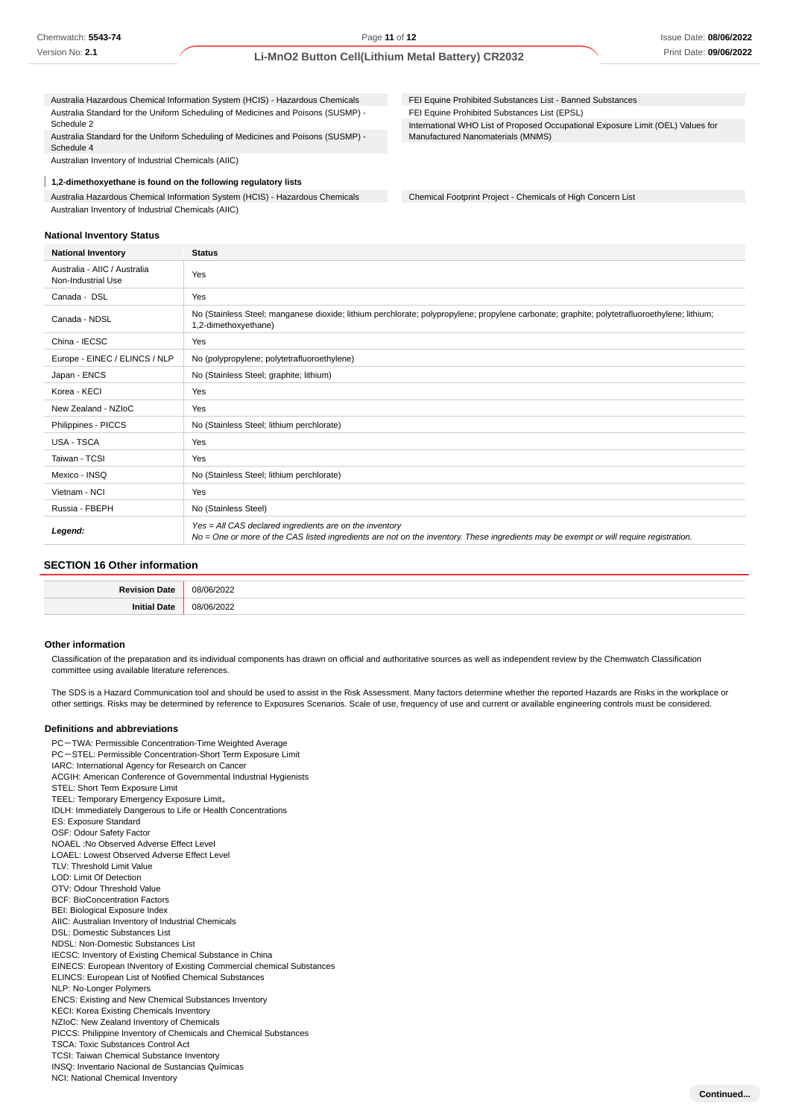Australia Hazardous Chemical Information System (HCIS) - Hazardous Chemicals Australia Standard for the Uniform Scheduling of Medicines and Poisons (SUSMP) - Schedule 2

Australia Standard for the Uniform Scheduling of Medicines and Poisons (SUSMP) - Schedule 4

Australian Inventory of Industrial Chemicals (AIIC)

I **1,2-dimethoxyethane is found on the following regulatory lists** Australia Hazardous Chemical Information System (HCIS) - Hazardous Chemicals Australian Inventory of Industrial Chemicals (AIIC)

### **National Inventory Status**

FEI Equine Prohibited Substances List - Banned Substances FEI Equine Prohibited Substances List (EPSL) International WHO List of Proposed Occupational Exposure Limit (OEL) Values for Manufactured Nanomaterials (MNMS)

Chemical Footprint Project - Chemicals of High Concern List

| <b>National Inventory</b>                          | <b>Status</b>                                                                                                                                                                                     |
|----------------------------------------------------|---------------------------------------------------------------------------------------------------------------------------------------------------------------------------------------------------|
| Australia - AIIC / Australia<br>Non-Industrial Use | Yes                                                                                                                                                                                               |
| Canada - DSL                                       | Yes                                                                                                                                                                                               |
| Canada - NDSL                                      | No (Stainless Steel; manganese dioxide; lithium perchlorate; polypropylene; propylene carbonate; graphite; polytetrafluoroethylene; lithium;<br>1,2-dimethoxyethane)                              |
| China - IECSC                                      | Yes                                                                                                                                                                                               |
| Europe - EINEC / ELINCS / NLP                      | No (polypropylene; polytetrafluoroethylene)                                                                                                                                                       |
| Japan - ENCS                                       | No (Stainless Steel; graphite; lithium)                                                                                                                                                           |
| Korea - KECI                                       | Yes                                                                                                                                                                                               |
| New Zealand - NZIoC                                | Yes                                                                                                                                                                                               |
| Philippines - PICCS                                | No (Stainless Steel; lithium perchlorate)                                                                                                                                                         |
| USA - TSCA                                         | Yes                                                                                                                                                                                               |
| Taiwan - TCSI                                      | Yes                                                                                                                                                                                               |
| Mexico - INSQ                                      | No (Stainless Steel; lithium perchlorate)                                                                                                                                                         |
| Vietnam - NCI                                      | Yes                                                                                                                                                                                               |
| Russia - FBEPH                                     | No (Stainless Steel)                                                                                                                                                                              |
| Legend:                                            | Yes = All CAS declared ingredients are on the inventory<br>No = One or more of the CAS listed ingredients are not on the inventory. These ingredients may be exempt or will require registration. |

### **SECTION 16 Other information**

### **Other information**

Classification of the preparation and its individual components has drawn on official and authoritative sources as well as independent review by the Chemwatch Classification committee using available literature references.

The SDS is a Hazard Communication tool and should be used to assist in the Risk Assessment. Many factors determine whether the reported Hazards are Risks in the workplace or other settings. Risks may be determined by reference to Exposures Scenarios. Scale of use, frequency of use and current or available engineering controls must be considered.

### **Definitions and abbreviations**

PC-TWA: Permissible Concentration-Time Weighted Average PC-STEL: Permissible Concentration-Short Term Exposure Limit IARC: International Agency for Research on Cancer ACGIH: American Conference of Governmental Industrial Hygienists STEL: Short Term Exposure Limit TEEL: Temporary Emergency Exposure Limit。 IDLH: Immediately Dangerous to Life or Health Concentrations ES: Exposure Standard OSF: Odour Safety Factor NOAEL :No Observed Adverse Effect Level LOAEL: Lowest Observed Adverse Effect Level TLV: Threshold Limit Value LOD: Limit Of Detection OTV: Odour Threshold Value BCF: BioConcentration Factors BEI: Biological Exposure Index AIIC: Australian Inventory of Industrial Chemicals DSL: Domestic Substances List NDSL: Non-Domestic Substances List IECSC: Inventory of Existing Chemical Substance in China EINECS: European INventory of Existing Commercial chemical Substances ELINCS: European List of Notified Chemical Substances NLP: No-Longer Polymers ENCS: Existing and New Chemical Substances Inventory KECI: Korea Existing Chemicals Inventory NZIoC: New Zealand Inventory of Chemicals PICCS: Philippine Inventory of Chemicals and Chemical Substances TSCA: Toxic Substances Control Act TCSI: Taiwan Chemical Substance Inventory INSQ: Inventario Nacional de Sustancias Químicas NCI: National Chemical Inventory